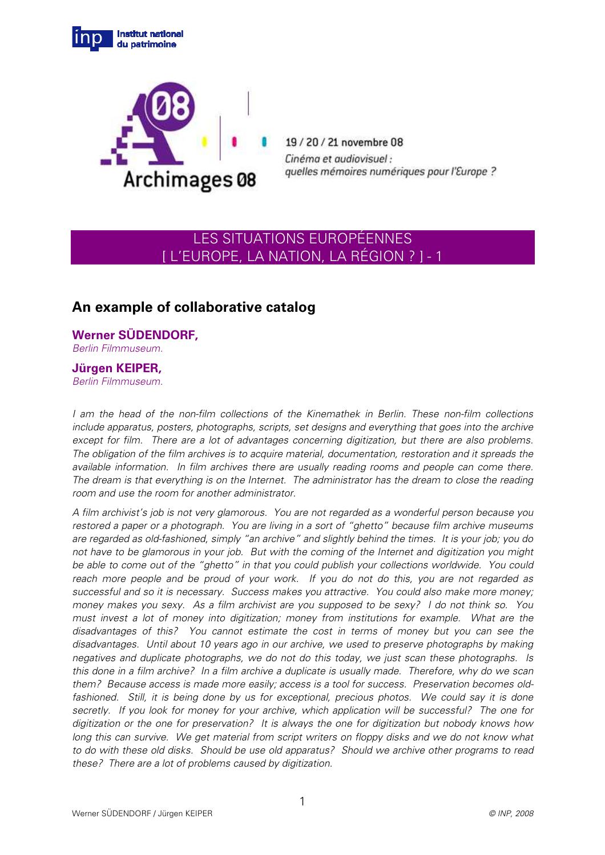



19/20/21 novembre 08 Cinéma et audiovisuel : quelles mémoires numériques pour l'Europe ?

# LES SITUATIONS EUROPÉENNES [ L'EUROPE, LA NATION, LA RÉGION ? ] - 1

# **An example of collaborative catalog**

**Werner SÜDENDORF,**  Berlin Filmmuseum.

# **Jürgen KEIPER,**

Berlin Filmmuseum.

I am the head of the non-film collections of the Kinemathek in Berlin. These non-film collections include apparatus, posters, photographs, scripts, set designs and everything that goes into the archive except for film. There are a lot of advantages concerning digitization, but there are also problems. The obligation of the film archives is to acquire material, documentation, restoration and it spreads the available information. In film archives there are usually reading rooms and people can come there. The dream is that everything is on the Internet. The administrator has the dream to close the reading room and use the room for another administrator.

A film archivist's job is not very glamorous. You are not regarded as a wonderful person because you restored a paper or a photograph. You are living in a sort of "ghetto" because film archive museums are regarded as old-fashioned, simply "an archive" and slightly behind the times. It is your job; you do not have to be glamorous in your job. But with the coming of the Internet and digitization you might be able to come out of the "ghetto" in that you could publish your collections worldwide. You could reach more people and be proud of your work. If you do not do this, you are not regarded as successful and so it is necessary. Success makes you attractive. You could also make more money; money makes you sexy. As a film archivist are you supposed to be sexy? I do not think so. You must invest a lot of money into digitization; money from institutions for example. What are the disadvantages of this? You cannot estimate the cost in terms of money but you can see the disadvantages. Until about 10 years ago in our archive, we used to preserve photographs by making negatives and duplicate photographs, we do not do this today, we just scan these photographs. Is this done in a film archive? In a film archive a duplicate is usually made. Therefore, why do we scan them? Because access is made more easily; access is a tool for success. Preservation becomes oldfashioned. Still, it is being done by us for exceptional, precious photos. We could say it is done secretly. If you look for money for your archive, which application will be successful? The one for digitization or the one for preservation? It is always the one for digitization but nobody knows how long this can survive. We get material from script writers on floppy disks and we do not know what to do with these old disks. Should be use old apparatus? Should we archive other programs to read these? There are a lot of problems caused by digitization.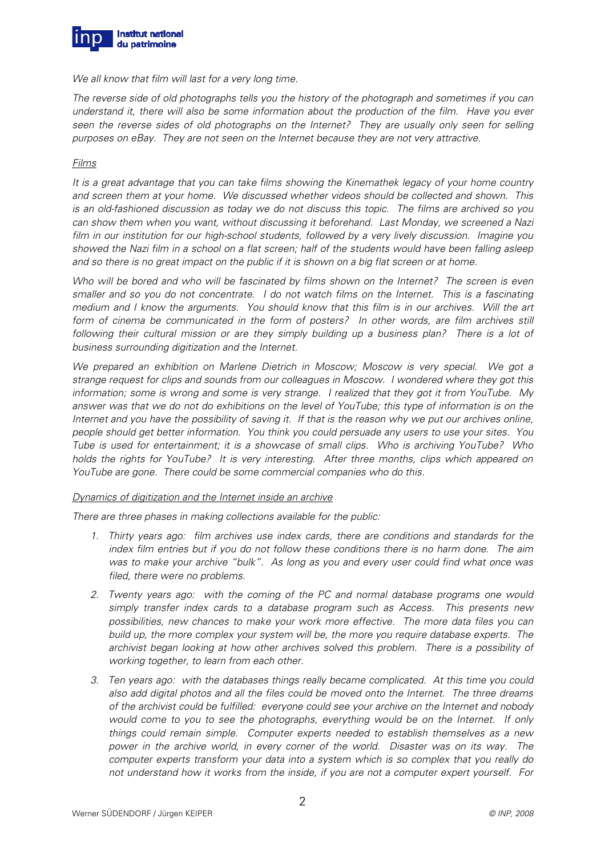

We all know that film will last for a very long time.

The reverse side of old photographs tells you the history of the photograph and sometimes if you can understand it, there will also be some information about the production of the film. Have you ever seen the reverse sides of old photographs on the Internet? They are usually only seen for selling purposes on eBay. They are not seen on the Internet because they are not very attractive.

#### Films

It is a great advantage that you can take films showing the Kinemathek legacy of your home country and screen them at your home. We discussed whether videos should be collected and shown. This is an old-fashioned discussion as today we do not discuss this topic. The films are archived so you can show them when you want, without discussing it beforehand. Last Monday, we screened a Nazi film in our institution for our high-school students, followed by a very lively discussion. Imagine you showed the Nazi film in a school on a flat screen; half of the students would have been falling asleep and so there is no great impact on the public if it is shown on a big flat screen or at home.

Who will be bored and who will be fascinated by films shown on the Internet? The screen is even smaller and so you do not concentrate. I do not watch films on the Internet. This is a fascinating medium and I know the arguments. You should know that this film is in our archives. Will the art form of cinema be communicated in the form of posters? In other words, are film archives still following their cultural mission or are they simply building up a business plan? There is a lot of business surrounding digitization and the Internet.

We prepared an exhibition on Marlene Dietrich in Moscow; Moscow is very special. We got a strange request for clips and sounds from our colleagues in Moscow. I wondered where they got this information; some is wrong and some is very strange. I realized that they got it from YouTube. My answer was that we do not do exhibitions on the level of YouTube; this type of information is on the Internet and you have the possibility of saving it. If that is the reason why we put our archives online, people should get better information. You think you could persuade any users to use your sites. You Tube is used for entertainment; it is a showcase of small clips. Who is archiving YouTube? Who holds the rights for YouTube? It is very interesting. After three months, clips which appeared on YouTube are gone. There could be some commercial companies who do this.

# Dynamics of digitization and the Internet inside an archive

There are three phases in making collections available for the public:

- 1. Thirty years ago: film archives use index cards, there are conditions and standards for the index film entries but if you do not follow these conditions there is no harm done. The aim was to make your archive "bulk". As long as you and every user could find what once was filed, there were no problems.
- 2. Twenty years ago: with the coming of the PC and normal database programs one would simply transfer index cards to a database program such as Access. This presents new possibilities, new chances to make your work more effective. The more data files you can build up, the more complex your system will be, the more you require database experts. The archivist began looking at how other archives solved this problem. There is a possibility of working together, to learn from each other.
- 3. Ten years ago: with the databases things really became complicated. At this time you could also add digital photos and all the files could be moved onto the Internet. The three dreams of the archivist could be fulfilled: everyone could see your archive on the Internet and nobody would come to you to see the photographs, everything would be on the Internet. If only things could remain simple. Computer experts needed to establish themselves as a new power in the archive world, in every corner of the world. Disaster was on its way. The computer experts transform your data into a system which is so complex that you really do not understand how it works from the inside, if you are not a computer expert yourself. For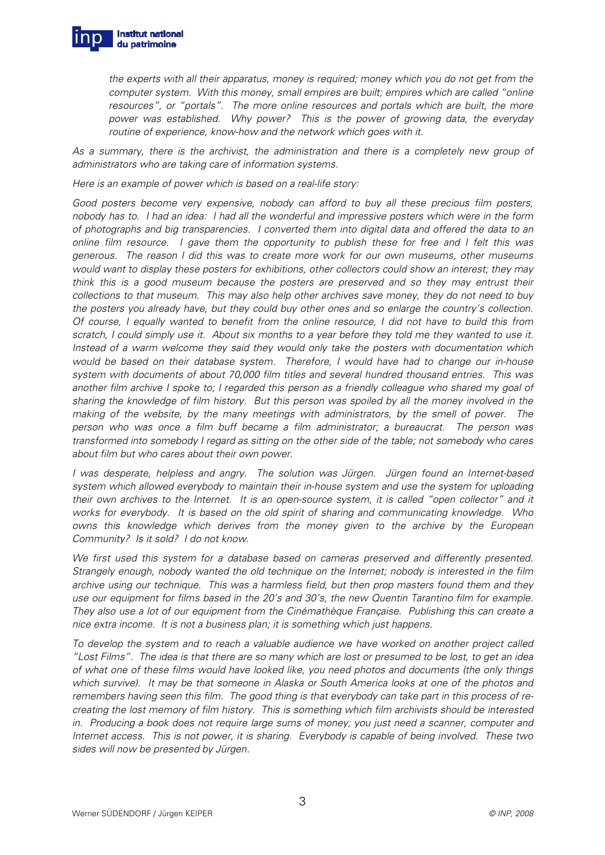

the experts with all their apparatus, money is required; money which you do not get from the computer system. With this money, small empires are built; empires which are called "online resources", or "portals". The more online resources and portals which are built, the more power was established. Why power? This is the power of growing data, the everyday routine of experience, know-how and the network which goes with it.

As a summary, there is the archivist, the administration and there is a completely new group of administrators who are taking care of information systems.

Here is an example of power which is based on a real-life story:

Good posters become very expensive, nobody can afford to buy all these precious film posters, nobody has to. I had an idea: I had all the wonderful and impressive posters which were in the form of photographs and big transparencies. I converted them into digital data and offered the data to an online film resource. I gave them the opportunity to publish these for free and I felt this was generous. The reason I did this was to create more work for our own museums, other museums would want to display these posters for exhibitions, other collectors could show an interest; they may think this is a good museum because the posters are preserved and so they may entrust their collections to that museum. This may also help other archives save money, they do not need to buy the posters you already have, but they could buy other ones and so enlarge the country's collection. Of course, I equally wanted to benefit from the online resource, I did not have to build this from scratch, I could simply use it. About six months to a year before they told me they wanted to use it. Instead of a warm welcome they said they would only take the posters with documentation which would be based on their database system. Therefore, I would have had to change our in-house system with documents of about 70,000 film titles and several hundred thousand entries. This was another film archive I spoke to; I regarded this person as a friendly colleague who shared my goal of sharing the knowledge of film history. But this person was spoiled by all the money involved in the making of the website, by the many meetings with administrators, by the smell of power. The person who was once a film buff became a film administrator; a bureaucrat. The person was transformed into somebody I regard as sitting on the other side of the table; not somebody who cares about film but who cares about their own power.

I was desperate, helpless and angry. The solution was Jürgen. Jürgen found an Internet-based system which allowed everybody to maintain their in-house system and use the system for uploading their own archives to the Internet. It is an open-source system, it is called "open collector" and it works for everybody. It is based on the old spirit of sharing and communicating knowledge. Who owns this knowledge which derives from the money given to the archive by the European Community? Is it sold? I do not know.

We first used this system for a database based on cameras preserved and differently presented. Strangely enough, nobody wanted the old technique on the Internet; nobody is interested in the film archive using our technique. This was a harmless field, but then prop masters found them and they use our equipment for films based in the 20's and 30's, the new Quentin Tarantino film for example. They also use a lot of our equipment from the Cinémathèque Française. Publishing this can create a nice extra income. It is not a business plan; it is something which just happens.

To develop the system and to reach a valuable audience we have worked on another project called "Lost Films". The idea is that there are so many which are lost or presumed to be lost, to get an idea of what one of these films would have looked like, you need photos and documents (the only things which survive). It may be that someone in Alaska or South America looks at one of the photos and remembers having seen this film. The good thing is that everybody can take part in this process of recreating the lost memory of film history. This is something which film archivists should be interested in. Producing a book does not require large sums of money; you just need a scanner, computer and Internet access. This is not power, it is sharing. Everybody is capable of being involved. These two sides will now be presented by Jürgen.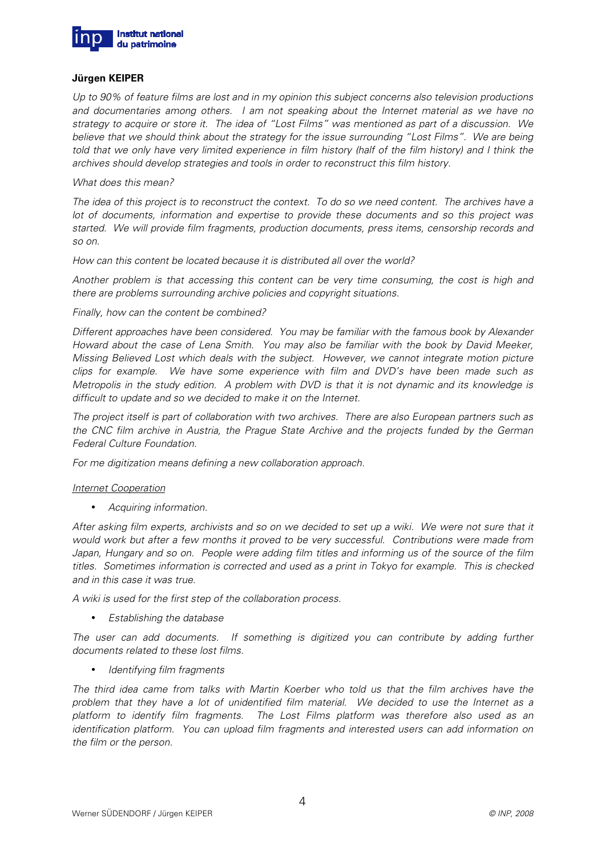

#### **Jürgen KEIPER**

Up to 90% of feature films are lost and in my opinion this subject concerns also television productions and documentaries among others. I am not speaking about the Internet material as we have no strategy to acquire or store it. The idea of "Lost Films" was mentioned as part of a discussion. We believe that we should think about the strategy for the issue surrounding "Lost Films". We are being told that we only have very limited experience in film history (half of the film history) and I think the archives should develop strategies and tools in order to reconstruct this film history.

#### What does this mean?

The idea of this project is to reconstruct the context. To do so we need content. The archives have a lot of documents, information and expertise to provide these documents and so this project was started. We will provide film fragments, production documents, press items, censorship records and so on.

How can this content be located because it is distributed all over the world?

Another problem is that accessing this content can be very time consuming, the cost is high and there are problems surrounding archive policies and copyright situations.

Finally, how can the content be combined?

Different approaches have been considered. You may be familiar with the famous book by Alexander Howard about the case of Lena Smith. You may also be familiar with the book by David Meeker, Missing Believed Lost which deals with the subject. However, we cannot integrate motion picture clips for example. We have some experience with film and DVD's have been made such as Metropolis in the study edition. A problem with DVD is that it is not dynamic and its knowledge is difficult to update and so we decided to make it on the Internet.

The project itself is part of collaboration with two archives. There are also European partners such as the CNC film archive in Austria, the Prague State Archive and the projects funded by the German Federal Culture Foundation.

For me digitization means defining a new collaboration approach.

#### Internet Cooperation

• Acquiring information.

After asking film experts, archivists and so on we decided to set up a wiki. We were not sure that it would work but after a few months it proved to be very successful. Contributions were made from Japan, Hungary and so on. People were adding film titles and informing us of the source of the film titles. Sometimes information is corrected and used as a print in Tokyo for example. This is checked and in this case it was true.

A wiki is used for the first step of the collaboration process.

• Establishing the database

The user can add documents. If something is digitized you can contribute by adding further documents related to these lost films.

• Identifying film fragments

The third idea came from talks with Martin Koerber who told us that the film archives have the problem that they have a lot of unidentified film material. We decided to use the Internet as a platform to identify film fragments. The Lost Films platform was therefore also used as an identification platform. You can upload film fragments and interested users can add information on the film or the person.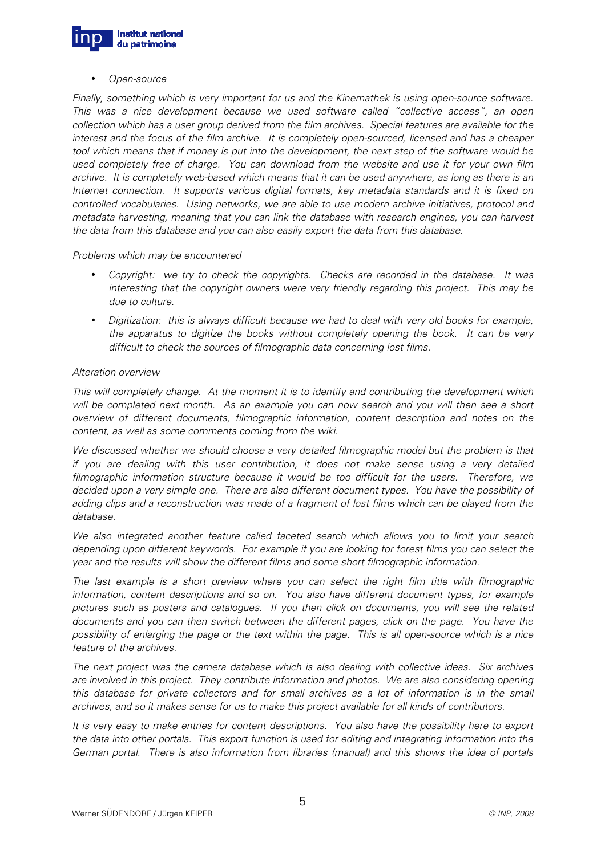

• Open-source

Finally, something which is very important for us and the Kinemathek is using open-source software. This was a nice development because we used software called "collective access", an open collection which has a user group derived from the film archives. Special features are available for the interest and the focus of the film archive. It is completely open-sourced, licensed and has a cheaper tool which means that if money is put into the development, the next step of the software would be used completely free of charge. You can download from the website and use it for your own film archive. It is completely web-based which means that it can be used anywhere, as long as there is an Internet connection. It supports various digital formats, key metadata standards and it is fixed on controlled vocabularies. Using networks, we are able to use modern archive initiatives, protocol and metadata harvesting, meaning that you can link the database with research engines, you can harvest the data from this database and you can also easily export the data from this database.

#### Problems which may be encountered

- Copyright: we try to check the copyrights. Checks are recorded in the database. It was interesting that the copyright owners were very friendly regarding this project. This may be due to culture.
- Digitization: this is always difficult because we had to deal with very old books for example, the apparatus to digitize the books without completely opening the book. It can be very difficult to check the sources of filmographic data concerning lost films.

# Alteration overview

This will completely change. At the moment it is to identify and contributing the development which will be completed next month. As an example you can now search and you will then see a short overview of different documents, filmographic information, content description and notes on the content, as well as some comments coming from the wiki.

We discussed whether we should choose a very detailed filmographic model but the problem is that if you are dealing with this user contribution, it does not make sense using a very detailed filmographic information structure because it would be too difficult for the users. Therefore, we decided upon a very simple one. There are also different document types. You have the possibility of adding clips and a reconstruction was made of a fragment of lost films which can be played from the database.

We also integrated another feature called faceted search which allows you to limit your search depending upon different keywords. For example if you are looking for forest films you can select the year and the results will show the different films and some short filmographic information.

The last example is a short preview where you can select the right film title with filmographic information, content descriptions and so on. You also have different document types, for example pictures such as posters and catalogues. If you then click on documents, you will see the related documents and you can then switch between the different pages, click on the page. You have the possibility of enlarging the page or the text within the page. This is all open-source which is a nice feature of the archives.

The next project was the camera database which is also dealing with collective ideas. Six archives are involved in this project. They contribute information and photos. We are also considering opening this database for private collectors and for small archives as a lot of information is in the small archives, and so it makes sense for us to make this project available for all kinds of contributors.

It is very easy to make entries for content descriptions. You also have the possibility here to export the data into other portals. This export function is used for editing and integrating information into the German portal. There is also information from libraries (manual) and this shows the idea of portals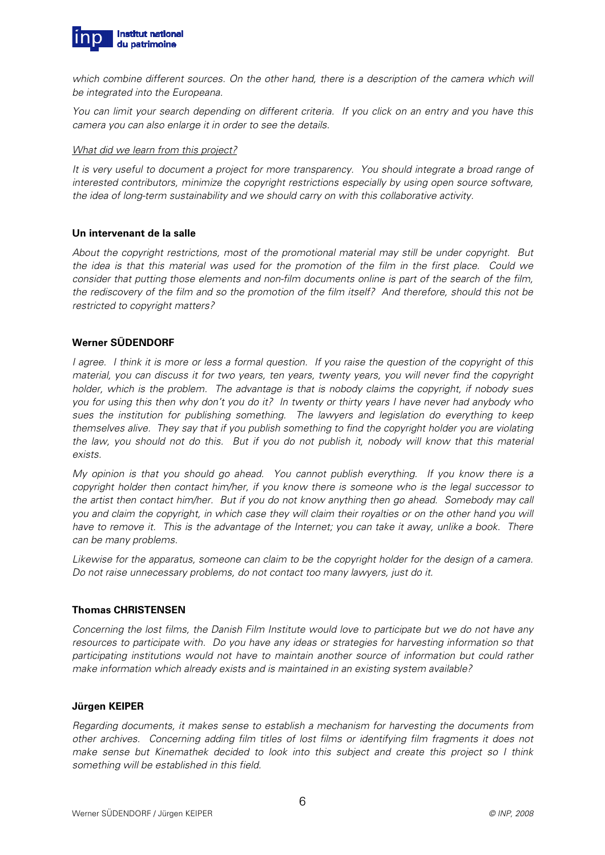

which combine different sources. On the other hand, there is a description of the camera which will be integrated into the Europeana.

You can limit your search depending on different criteria. If you click on an entry and you have this camera you can also enlarge it in order to see the details.

#### What did we learn from this project?

It is very useful to document a project for more transparency. You should integrate a broad range of interested contributors, minimize the copyright restrictions especially by using open source software, the idea of long-term sustainability and we should carry on with this collaborative activity.

# **Un intervenant de la salle**

About the copyright restrictions, most of the promotional material may still be under copyright. But the idea is that this material was used for the promotion of the film in the first place. Could we consider that putting those elements and non-film documents online is part of the search of the film, the rediscovery of the film and so the promotion of the film itself? And therefore, should this not be restricted to copyright matters?

# **Werner SÜDENDORF**

I agree. I think it is more or less a formal question. If you raise the question of the copyright of this material, you can discuss it for two years, ten years, twenty years, you will never find the copyright holder, which is the problem. The advantage is that is nobody claims the copyright, if nobody sues you for using this then why don't you do it? In twenty or thirty years I have never had anybody who sues the institution for publishing something. The lawyers and legislation do everything to keep themselves alive. They say that if you publish something to find the copyright holder you are violating the law, you should not do this. But if you do not publish it, nobody will know that this material exists.

My opinion is that you should go ahead. You cannot publish everything. If you know there is a copyright holder then contact him/her, if you know there is someone who is the legal successor to the artist then contact him/her. But if you do not know anything then go ahead. Somebody may call you and claim the copyright, in which case they will claim their royalties or on the other hand you will have to remove it. This is the advantage of the Internet; you can take it away, unlike a book. There can be many problems.

Likewise for the apparatus, someone can claim to be the copyright holder for the design of a camera. Do not raise unnecessary problems, do not contact too many lawyers, just do it.

# **Thomas CHRISTENSEN**

Concerning the lost films, the Danish Film Institute would love to participate but we do not have any resources to participate with. Do you have any ideas or strategies for harvesting information so that participating institutions would not have to maintain another source of information but could rather make information which already exists and is maintained in an existing system available?

# **Jürgen KEIPER**

Regarding documents, it makes sense to establish a mechanism for harvesting the documents from other archives. Concerning adding film titles of lost films or identifying film fragments it does not make sense but Kinemathek decided to look into this subject and create this project so I think something will be established in this field.